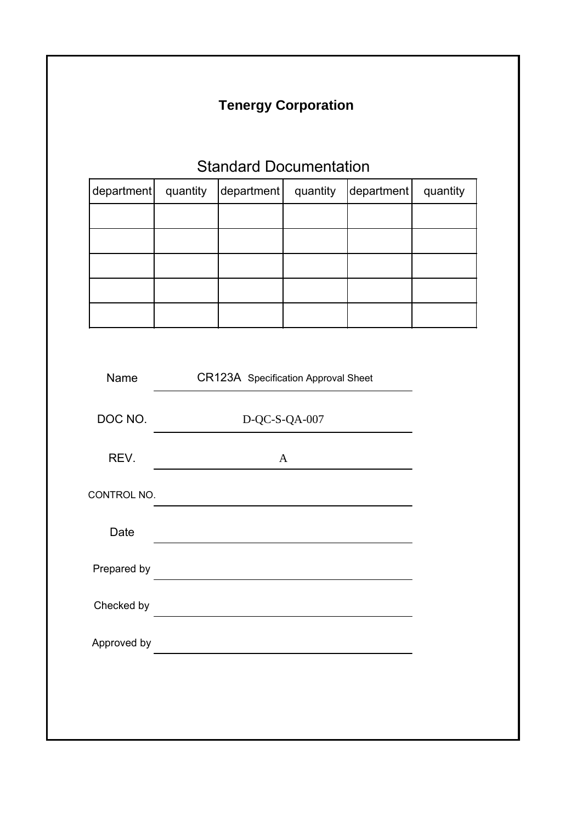# **Tenergy Corporation**

# Standard Documentation

| department quantity | department   quantity | $\left $ department $\right $ | quantity |
|---------------------|-----------------------|-------------------------------|----------|
|                     |                       |                               |          |
|                     |                       |                               |          |
|                     |                       |                               |          |
|                     |                       |                               |          |
|                     |                       |                               |          |

| Name        | CR123A Specification Approval Sheet               |  |
|-------------|---------------------------------------------------|--|
| DOC NO.     | D-QC-S-QA-007                                     |  |
| REV.        | A                                                 |  |
| CONTROL NO. |                                                   |  |
| Date        |                                                   |  |
| Prepared by | <u> 1989 - Johann Barbara, martxa alemaniar a</u> |  |
| Checked by  |                                                   |  |
| Approved by |                                                   |  |
|             |                                                   |  |
|             |                                                   |  |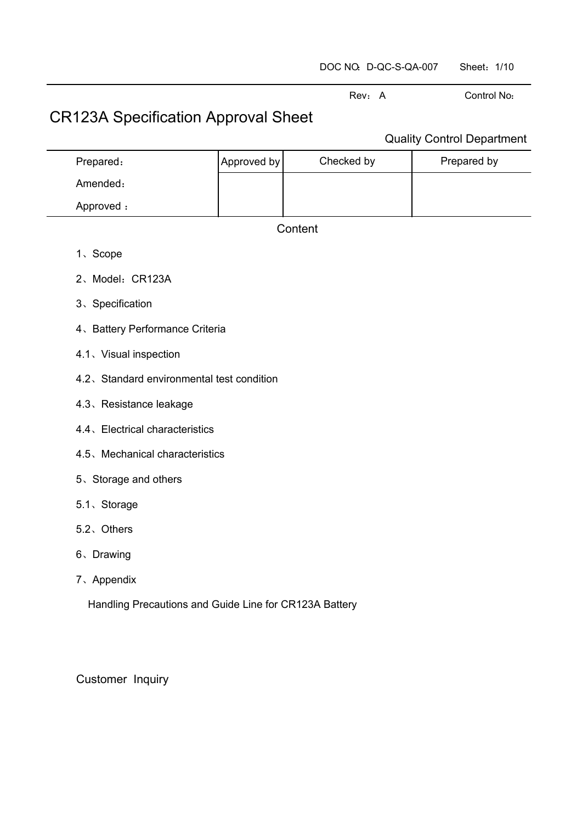| DOC NO. D-QC-S-QA-007 | Sheet: 1/10 |  |
|-----------------------|-------------|--|
|-----------------------|-------------|--|

# CR123A Specification Approval Sheet

## Quality Control Department

Rev: A Control No:

| Prepared: | Approved by | Checked by | Prepared by |
|-----------|-------------|------------|-------------|
| Amended:  |             |            |             |
| Approved: |             |            |             |

### **Content**

- 1、Scope
- 2、Model:CR123A
- 3、Specification
- 4、Battery Performance Criteria
- 4.1、Visual inspection
- 4.2、Standard environmental test condition
- 4.3、Resistance leakage
- 4.4、Electrical characteristics
- 4.5、Mechanical characteristics
- 5、Storage and others
- 5.1、Storage
- 5.2、Others
- 6、Drawing
- 7、Appendix

Handling Precautions and Guide Line for CR123A Battery

Customer Inquiry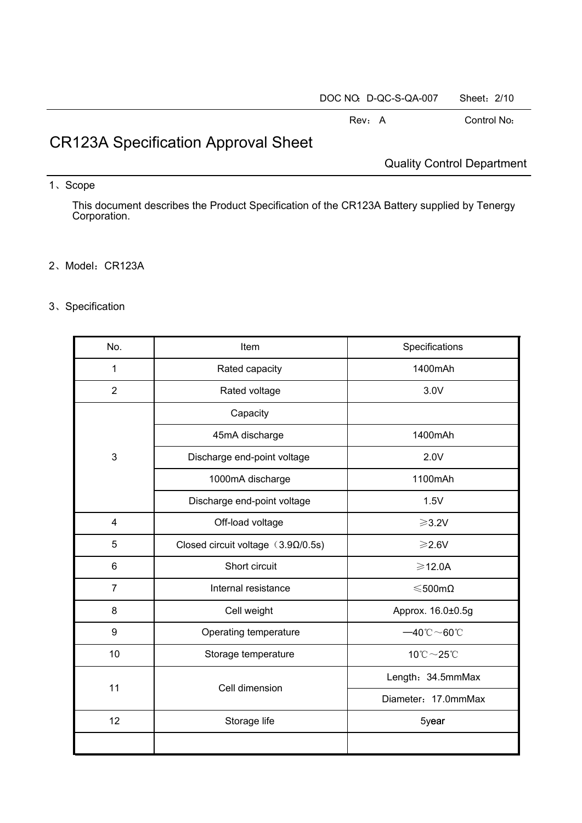| DOC NO. D-QC-S-QA-007 | Sheet: 2/10 |  |
|-----------------------|-------------|--|
|                       |             |  |

# CR123A Specification Approval Sheet

Quality Control Department

### 1、Scope

This document describes the Product Specification of the CR123A Battery supplied by Tenergy Corporation.

### 2、Model:CR123A

## 3、Specification

| No.            | Item                                      | Specifications                                  |
|----------------|-------------------------------------------|-------------------------------------------------|
| $\mathbf{1}$   | Rated capacity                            | 1400mAh                                         |
| $\overline{2}$ | Rated voltage                             | 3.0V                                            |
|                | Capacity                                  |                                                 |
|                | 45mA discharge                            | 1400mAh                                         |
| 3              | Discharge end-point voltage               | 2.0V                                            |
|                | 1000mA discharge                          | 1100mAh                                         |
|                | Discharge end-point voltage               | 1.5V                                            |
| 4              | Off-load voltage                          | $\geqslant$ 3.2V                                |
| 5              | Closed circuit voltage $(3.9\Omega/0.5s)$ | $\geqslant$ 2.6V                                |
| 6              | Short circuit                             | $\geqslant$ 12.0A                               |
| $\overline{7}$ | Internal resistance                       | $≤$ 500mΩ                                       |
| 8              | Cell weight                               | Approx. 16.0±0.5g                               |
| 9              | Operating temperature                     | $-40^{\circ}\text{C}\!\sim\!60^{\circ}\text{C}$ |
| 10             | Storage temperature                       | $10^{\circ}\text{C}\!\sim\!25^{\circ}\text{C}$  |
| 11             | Cell dimension                            | Length: 34.5mmMax                               |
|                |                                           | Diameter: 17.0mmMax                             |
| 12             | Storage life                              | 5year                                           |
|                |                                           |                                                 |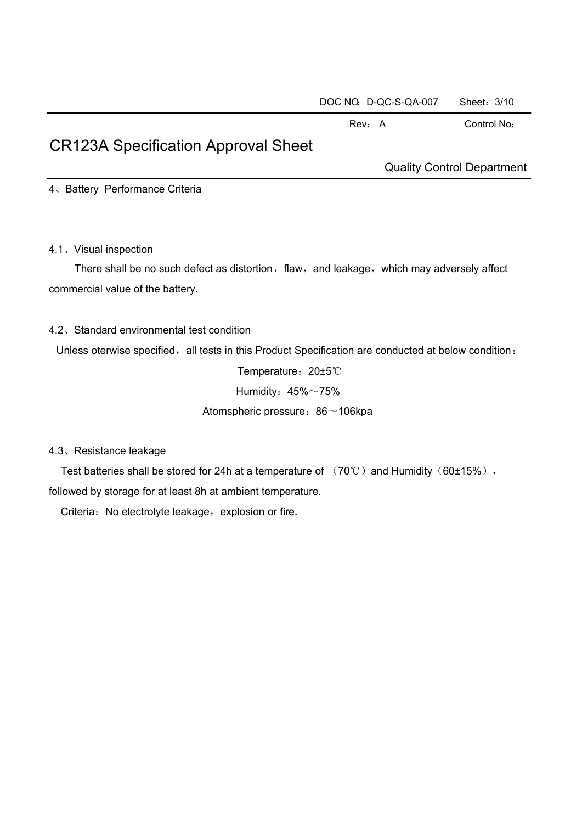# CR123A Specification Approval Sheet

Quality Control Department

4、Battery Performance Criteria

4.1、Visual inspection

There shall be no such defect as distortion, flaw, and leakage, which may adversely affect commercial value of the battery.

#### 4.2、Standard environmental test condition

Unless oterwise specified, all tests in this Product Specification are conducted at below condition:

Temperature:20±5℃ Humidity:  $45\%$  ~75% Atomspheric pressure: 86~106kpa

4.3、Resistance leakage

Test batteries shall be stored for 24h at a temperature of  $(70^{\circ}\text{C})$  and Humidity  $(60\pm15\%)$ , followed by storage for at least 8h at ambient temperature.

Criteria: No electrolyte leakage, explosion or fire.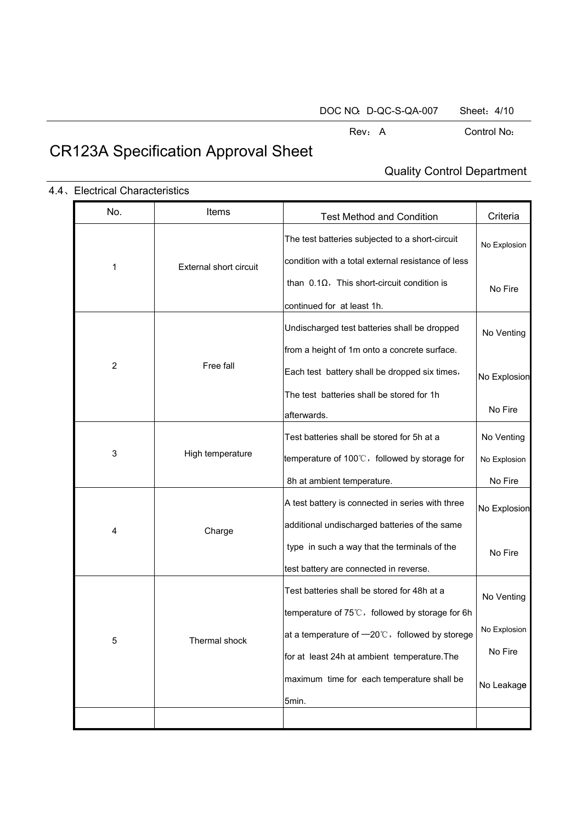# CR123A Specification Approval Sheet

## Quality Control Department

| No.              | Items                         | <b>Test Method and Condition</b>                                 | Criteria     |
|------------------|-------------------------------|------------------------------------------------------------------|--------------|
|                  |                               | The test batteries subjected to a short-circuit                  | No Explosion |
| 1                | <b>External short circuit</b> | condition with a total external resistance of less               |              |
|                  |                               | than $0.1\Omega$ , This short-circuit condition is               | No Fire      |
|                  |                               | continued for at least 1h.                                       |              |
|                  |                               | Undischarged test batteries shall be dropped                     | No Venting   |
|                  |                               | from a height of 1m onto a concrete surface.                     |              |
| $\boldsymbol{2}$ | Free fall                     | Each test battery shall be dropped six times,                    | No Explosion |
|                  |                               | The test batteries shall be stored for 1h                        |              |
|                  |                               | afterwards.                                                      | No Fire      |
|                  |                               | Test batteries shall be stored for 5h at a                       | No Venting   |
| 3                | High temperature              | temperature of $100^{\circ}$ . followed by storage for           | No Explosion |
|                  |                               | 8h at ambient temperature.                                       | No Fire      |
|                  |                               | A test battery is connected in series with three                 | No Explosion |
| 4                | Charge                        | additional undischarged batteries of the same                    |              |
|                  |                               | type in such a way that the terminals of the                     | No Fire      |
|                  |                               | test battery are connected in reverse.                           |              |
|                  |                               | Test batteries shall be stored for 48h at a                      | No Venting   |
|                  |                               | temperature of $75^{\circ}\text{C}$ , followed by storage for 6h |              |
| 5                | Thermal shock                 | at a temperature of $-20^{\circ}$ . followed by storege          | No Explosion |
|                  |                               | for at least 24h at ambient temperature. The                     | No Fire      |
|                  |                               | maximum time for each temperature shall be                       | No Leakage   |
|                  |                               | 5min.                                                            |              |
|                  |                               |                                                                  |              |

#### 4.4、Electrical Characteristics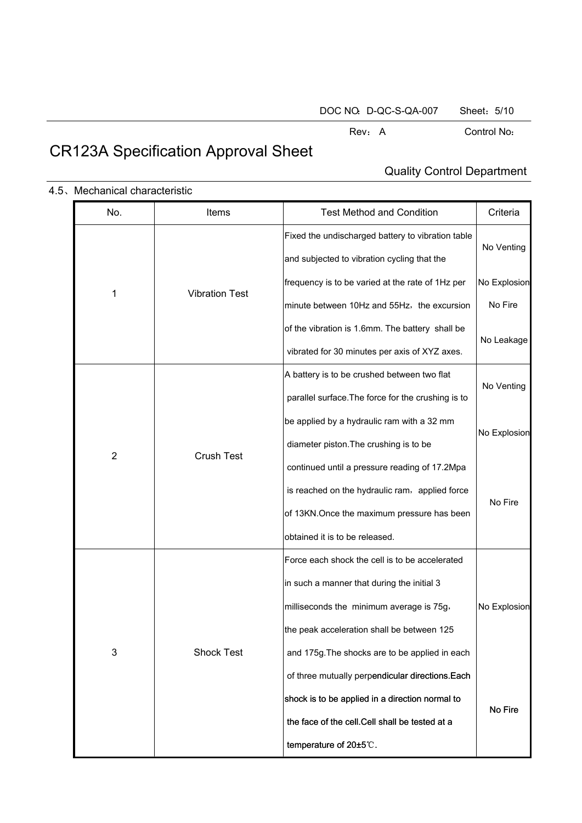# CR123A Specification Approval Sheet

## Quality Control Department

| No.            | Items                 | <b>Test Method and Condition</b>                   | Criteria     |  |
|----------------|-----------------------|----------------------------------------------------|--------------|--|
|                |                       | Fixed the undischarged battery to vibration table  | No Venting   |  |
|                |                       | and subjected to vibration cycling that the        |              |  |
|                | <b>Vibration Test</b> | frequency is to be varied at the rate of 1Hz per   | No Explosion |  |
|                | 1                     | minute between 10Hz and 55Hz, the excursion        | No Fire      |  |
|                |                       | of the vibration is 1.6mm. The battery shall be    | No Leakage   |  |
|                |                       | vibrated for 30 minutes per axis of XYZ axes.      |              |  |
|                |                       | A battery is to be crushed between two flat        | No Venting   |  |
|                |                       | parallel surface. The force for the crushing is to |              |  |
|                | <b>Crush Test</b>     | be applied by a hydraulic ram with a 32 mm         | No Explosion |  |
| $\overline{2}$ |                       | diameter piston. The crushing is to be             |              |  |
|                |                       | continued until a pressure reading of 17.2Mpa      |              |  |
|                |                       | is reached on the hydraulic ram, applied force     | No Fire      |  |
|                |                       | of 13KN. Once the maximum pressure has been        |              |  |
|                |                       | obtained it is to be released.                     |              |  |
|                |                       | Force each shock the cell is to be accelerated     |              |  |
|                |                       | in such a manner that during the initial 3         |              |  |
|                |                       | milliseconds the minimum average is 75g,           | No Explosion |  |
|                |                       | the peak acceleration shall be between 125         |              |  |
| 3              | <b>Shock Test</b>     | and 175g. The shocks are to be applied in each     |              |  |
|                |                       | of three mutually perpendicular directions. Each   |              |  |
|                |                       | shock is to be applied in a direction normal to    | No Fire      |  |
|                |                       | the face of the cell. Cell shall be tested at a    |              |  |
|                |                       | temperature of 20±5℃.                              |              |  |

#### 4.5、Mechanical characteristic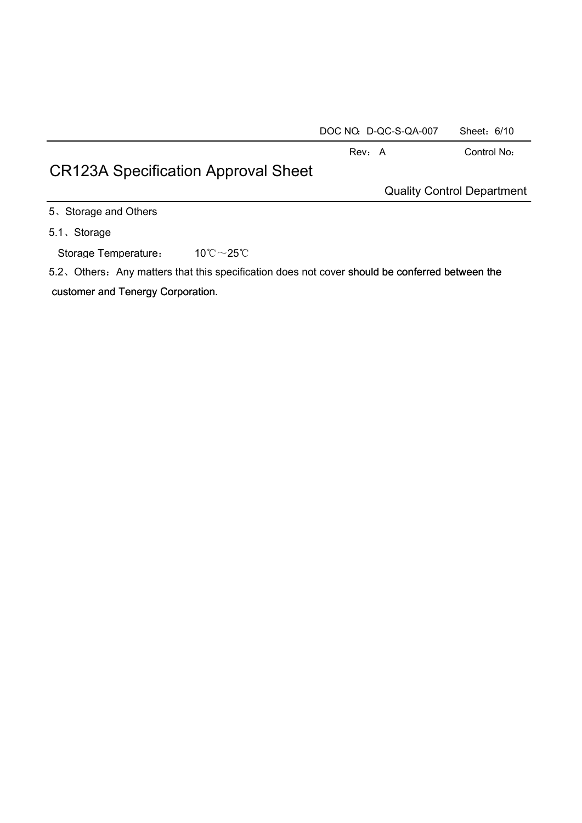| DOC NO. D-QC-S-QA-007 | Sheet: 6/10 |  |
|-----------------------|-------------|--|
|-----------------------|-------------|--|

# CR123A Specification Approval Sheet

Quality Control Department

5、Storage and Others

5.1、Storage

Storage Temperature: 10℃~25℃

5.2. Others: Any matters that this specification does not cover should be conferred between the

customer and Tenergy Corporation.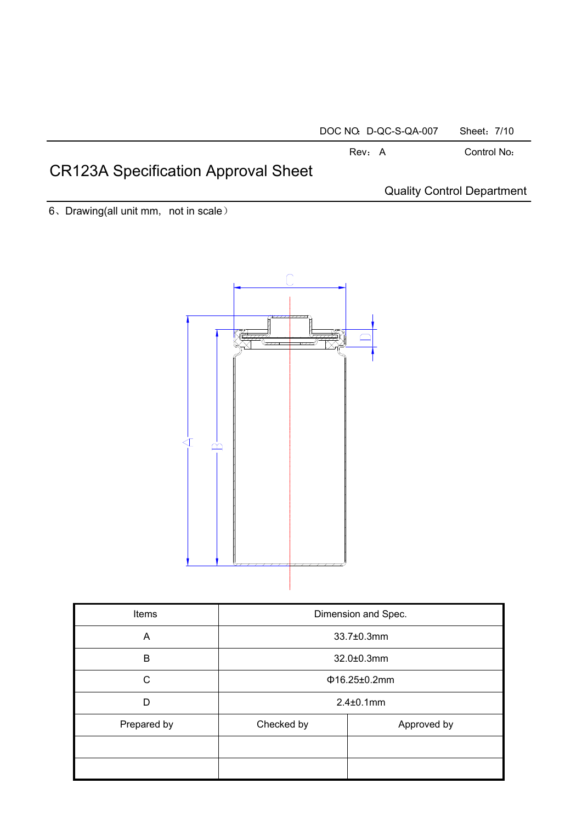#### DOC NO: D-QC-S-QA-007 Sheet: 7/10

#### Rev: A Control No:

# CR123A Specification Approval Sheet

Quality Control Department

6、Drawing(all unit mm, not in scale)



| <b>Items</b> | Dimension and Spec.       |  |  |
|--------------|---------------------------|--|--|
| A            | 33.7±0.3mm                |  |  |
| B            | 32.0±0.3mm                |  |  |
| C            | $\Phi$ 16.25±0.2mm        |  |  |
| D            | $2.4 \pm 0.1$ mm          |  |  |
| Prepared by  | Checked by<br>Approved by |  |  |
|              |                           |  |  |
|              |                           |  |  |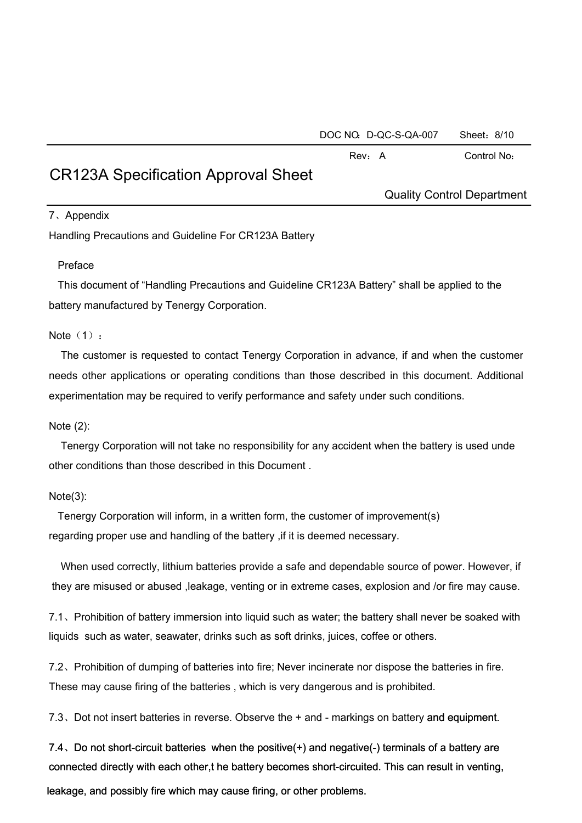| DOC NO. D-QC-S-QA-007 | Sheet: 8/10 |
|-----------------------|-------------|
|-----------------------|-------------|

## CR123A Specification Approval Sheet

Quality Control Department

### 7、Appendix

Handling Precautions and Guideline For CR123A Battery

### Preface

This document of "Handling Precautions and Guideline CR123A Battery" shall be applied to the battery manufactured by Tenergy Corporation.

### Note  $(1):$

The customer is requested to contact Tenergy Corporation in advance, if and when the customer needs other applications or operating conditions than those described in this document. Additional experimentation may be required to verify performance and safety under such conditions.

### Note (2):

Tenergy Corporation will not take no responsibility for any accident when the battery is used unde other conditions than those described in this Document .

### Note(3):

Tenergy Corporation will inform, in a written form, the customer of improvement(s) regarding proper use and handling of the battery ,if it is deemed necessary.

When used correctly, lithium batteries provide a safe and dependable source of power. However, if they are misused or abused ,leakage, venting or in extreme cases, explosion and /or fire may cause.

7.1、Prohibition of battery immersion into liquid such as water; the battery shall never be soaked with liquids such as water, seawater, drinks such as soft drinks, juices, coffee or others.

7.2、Prohibition of dumping of batteries into fire; Never incinerate nor dispose the batteries in fire. These may cause firing of the batteries , which is very dangerous and is prohibited.

7.3、Dot not insert batteries in reverse. Observe the + and - markings on battery and equipment.

7.4、Do not short-circuit batteries when the positive(+) and negative(-) terminals of a battery are connected directly with each other,t he battery becomes short-circuited. This can result in venting,

leakage, and possibly fire which may cause firing, or other problems.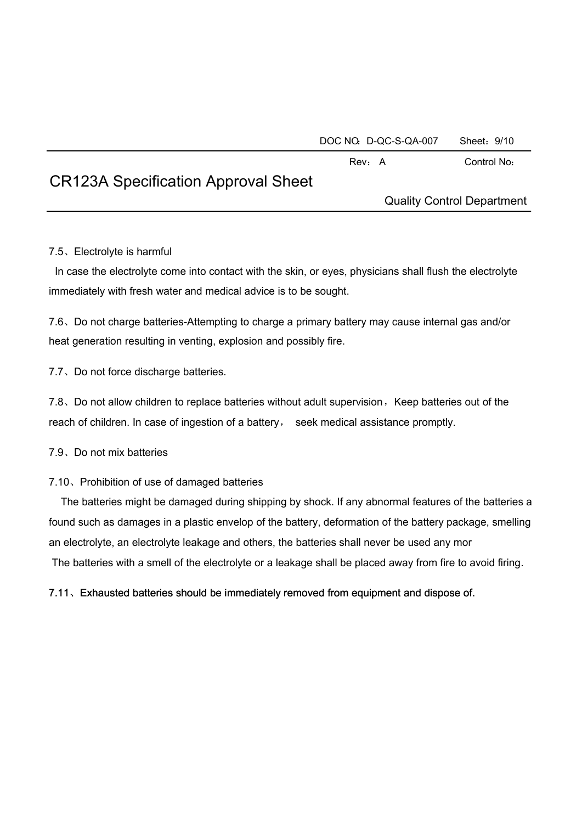DOC NO: D-QC-S-QA-007 Sheet: 9/10

Rev: A Control No:

# CR123A Specification Approval Sheet

Quality Control Department

### 7.5、Electrolyte is harmful

In case the electrolyte come into contact with the skin, or eyes, physicians shall flush the electrolyte immediately with fresh water and medical advice is to be sought.

7.6、Do not charge batteries-Attempting to charge a primary battery may cause internal gas and/or heat generation resulting in venting, explosion and possibly fire.

7.7、Do not force discharge batteries.

7.8, Do not allow children to replace batteries without adult supervision, Keep batteries out of the reach of children. In case of ingestion of a battery, seek medical assistance promptly.

7.9、Do not mix batteries

### 7.10、Prohibition of use of damaged batteries

The batteries might be damaged during shipping by shock. If any abnormal features of the batteries a found such as damages in a plastic envelop of the battery, deformation of the battery package, smelling an electrolyte, an electrolyte leakage and others, the batteries shall never be used any mor The batteries with a smell of the electrolyte or a leakage shall be placed away from fire to avoid firing.

7.11、Exhausted batteries should be immediately removed from equipment and dispose of.